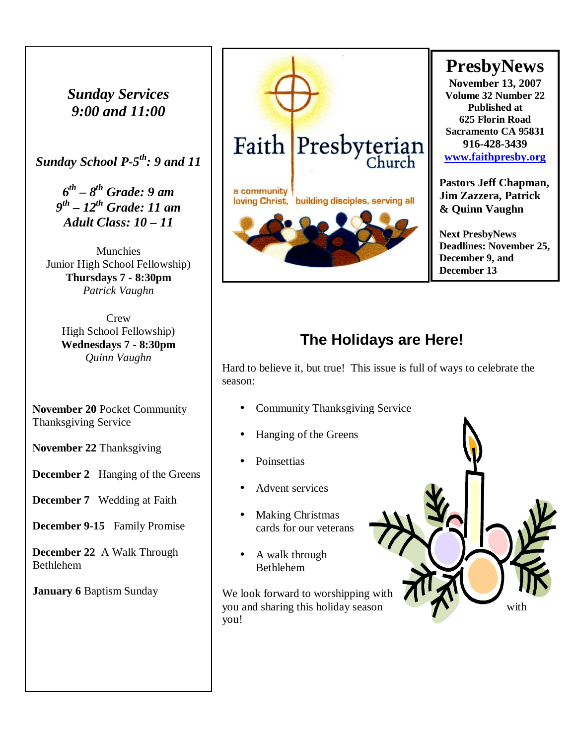*Sunday Services 9:00 and 11:00* 

*Sunday School P-5th: 9 and 11* 

*6 th – 8th Grade: 9 am 9 th – 12th Grade: 11 am Adult Class: 10 – 11* 

Munchies Junior High School Fellowship) **Thursdays 7 - 8:30pm**  *Patrick Vaughn* 

> Crew High School Fellowship) **Wednesdays 7 - 8:30pm**  *Quinn Vaughn*

**November 20** Pocket Community Thanksgiving Service

**November 22** Thanksgiving

**December 2** Hanging of the Greens

**December 7** Wedding at Faith

**December 9-15** Family Promise

**December 22** A Walk Through Bethlehem

**January 6** Baptism Sunday



# **The Holidays are Here!**

Hard to believe it, but true! This issue is full of ways to celebrate the season:

- Community Thanksgiving Service
- Hanging of the Greens
- Poinsettias
- Advent services
- Making Christmas cards for our veterans
- A walk through Bethlehem

We look forward to worshipping with you and sharing this holiday season you!

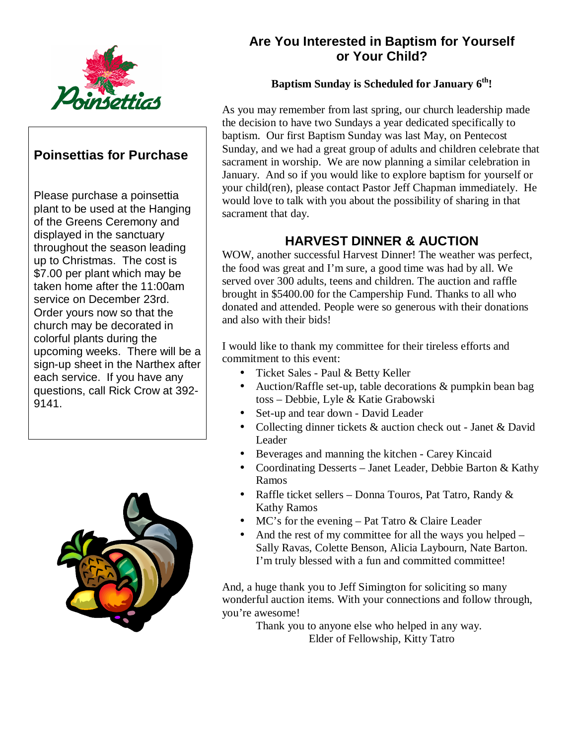

### **Poinsettias for Purchase**

Please purchase a poinsettia plant to be used at the Hanging of the Greens Ceremony and displayed in the sanctuary throughout the season leading up to Christmas. The cost is \$7.00 per plant which may be taken home after the 11:00am service on December 23rd. Order yours now so that the church may be decorated in colorful plants during the upcoming weeks. There will be a sign-up sheet in the Narthex after each service. If you have any questions, call Rick Crow at 392- 9141.



### **Are You Interested in Baptism for Yourself or Your Child?**

### **Baptism Sunday is Scheduled for January 6th!**

As you may remember from last spring, our church leadership made the decision to have two Sundays a year dedicated specifically to baptism. Our first Baptism Sunday was last May, on Pentecost Sunday, and we had a great group of adults and children celebrate that sacrament in worship. We are now planning a similar celebration in January. And so if you would like to explore baptism for yourself or your child(ren), please contact Pastor Jeff Chapman immediately. He would love to talk with you about the possibility of sharing in that sacrament that day.

### **HARVEST DINNER & AUCTION**

WOW, another successful Harvest Dinner! The weather was perfect, the food was great and I'm sure, a good time was had by all. We served over 300 adults, teens and children. The auction and raffle brought in \$5400.00 for the Campership Fund. Thanks to all who donated and attended. People were so generous with their donations and also with their bids!

I would like to thank my committee for their tireless efforts and commitment to this event:

- Ticket Sales Paul & Betty Keller
- Auction/Raffle set-up, table decorations & pumpkin bean bag toss – Debbie, Lyle & Katie Grabowski
- Set-up and tear down David Leader
- Collecting dinner tickets & auction check out Janet & David Leader
- Beverages and manning the kitchen Carey Kincaid
- Coordinating Desserts Janet Leader, Debbie Barton & Kathy Ramos
- Raffle ticket sellers Donna Touros, Pat Tatro, Randy & Kathy Ramos
- MC's for the evening Pat Tatro & Claire Leader
- And the rest of my committee for all the ways you helped Sally Ravas, Colette Benson, Alicia Laybourn, Nate Barton. I'm truly blessed with a fun and committed committee!

And, a huge thank you to Jeff Simington for soliciting so many wonderful auction items. With your connections and follow through, you're awesome!

> Thank you to anyone else who helped in any way. Elder of Fellowship, Kitty Tatro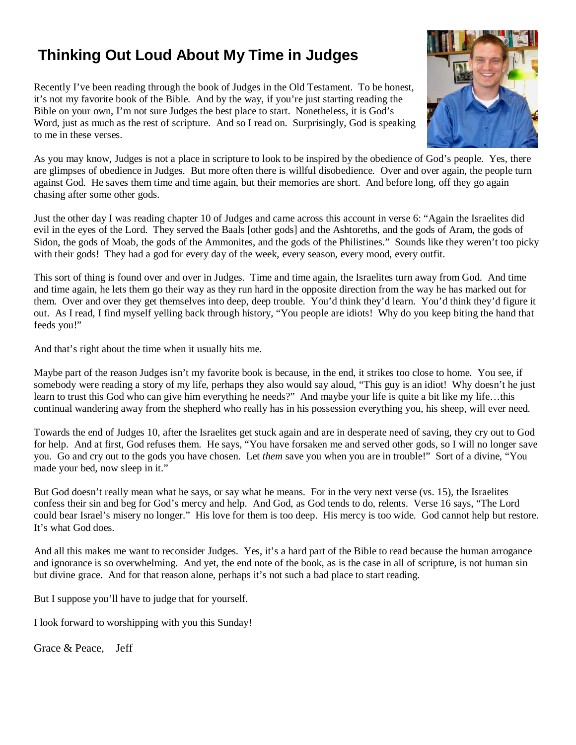# **Thinking Out Loud About My Time in Judges**

Recently I've been reading through the book of Judges in the Old Testament. To be honest, it's not my favorite book of the Bible. And by the way, if you're just starting reading the Bible on your own, I'm not sure Judges the best place to start. Nonetheless, it is God's Word, just as much as the rest of scripture. And so I read on. Surprisingly, God is speaking to me in these verses.



As you may know, Judges is not a place in scripture to look to be inspired by the obedience of God's people. Yes, there are glimpses of obedience in Judges. But more often there is willful disobedience. Over and over again, the people turn against God. He saves them time and time again, but their memories are short. And before long, off they go again chasing after some other gods.

Just the other day I was reading chapter 10 of Judges and came across this account in verse 6: "Again the Israelites did evil in the eyes of the Lord. They served the Baals [other gods] and the Ashtoreths, and the gods of Aram, the gods of Sidon, the gods of Moab, the gods of the Ammonites, and the gods of the Philistines." Sounds like they weren't too picky with their gods! They had a god for every day of the week, every season, every mood, every outfit.

This sort of thing is found over and over in Judges. Time and time again, the Israelites turn away from God. And time and time again, he lets them go their way as they run hard in the opposite direction from the way he has marked out for them. Over and over they get themselves into deep, deep trouble. You'd think they'd learn. You'd think they'd figure it out. As I read, I find myself yelling back through history, "You people are idiots! Why do you keep biting the hand that feeds you!"

And that's right about the time when it usually hits me.

Maybe part of the reason Judges isn't my favorite book is because, in the end, it strikes too close to home. You see, if somebody were reading a story of my life, perhaps they also would say aloud, "This guy is an idiot! Why doesn't he just learn to trust this God who can give him everything he needs?" And maybe your life is quite a bit like my life…this continual wandering away from the shepherd who really has in his possession everything you, his sheep, will ever need.

Towards the end of Judges 10, after the Israelites get stuck again and are in desperate need of saving, they cry out to God for help. And at first, God refuses them. He says, "You have forsaken me and served other gods, so I will no longer save you. Go and cry out to the gods you have chosen. Let *them* save you when you are in trouble!" Sort of a divine, "You made your bed, now sleep in it."

But God doesn't really mean what he says, or say what he means. For in the very next verse (vs. 15), the Israelites confess their sin and beg for God's mercy and help. And God, as God tends to do, relents. Verse 16 says, "The Lord could bear Israel's misery no longer." His love for them is too deep. His mercy is too wide. God cannot help but restore. It's what God does.

And all this makes me want to reconsider Judges. Yes, it's a hard part of the Bible to read because the human arrogance and ignorance is so overwhelming. And yet, the end note of the book, as is the case in all of scripture, is not human sin but divine grace. And for that reason alone, perhaps it's not such a bad place to start reading.

But I suppose you'll have to judge that for yourself.

I look forward to worshipping with you this Sunday!

Grace & Peace, Jeff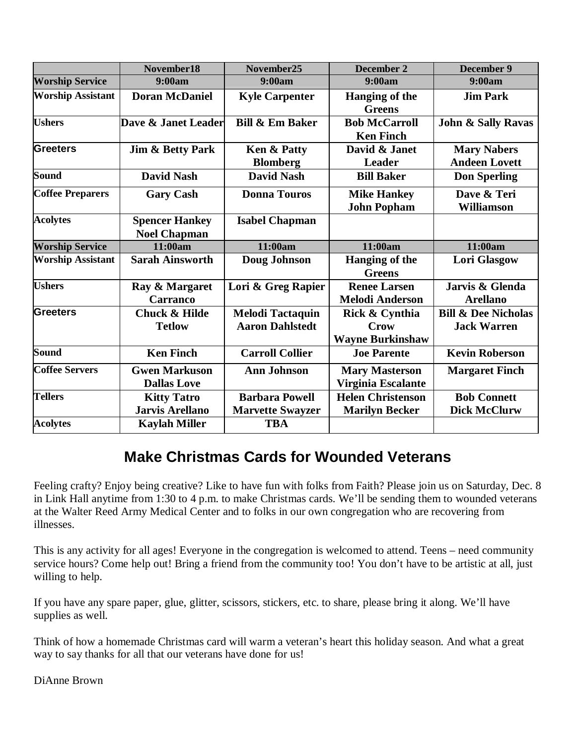|                          | November18                                   | November25                                        | December 2                                        | <b>December 9</b>                                    |
|--------------------------|----------------------------------------------|---------------------------------------------------|---------------------------------------------------|------------------------------------------------------|
| <b>Worship Service</b>   | 9:00am                                       | 9:00am                                            | 9:00am                                            | 9:00am                                               |
| <b>Worship Assistant</b> | <b>Doran McDaniel</b>                        | <b>Kyle Carpenter</b>                             | Hanging of the<br><b>Greens</b>                   | <b>Jim Park</b>                                      |
| <b>Ushers</b>            | Dave & Janet Leader                          | <b>Bill &amp; Em Baker</b>                        | <b>Bob McCarroll</b><br><b>Ken Finch</b>          | <b>John &amp; Sally Ravas</b>                        |
| <b>Greeters</b>          | <b>Jim &amp; Betty Park</b>                  | Ken & Patty<br><b>Blomberg</b>                    | David & Janet<br>Leader                           | <b>Mary Nabers</b><br><b>Andeen Lovett</b>           |
| Sound                    | <b>David Nash</b>                            | <b>David Nash</b>                                 | <b>Bill Baker</b>                                 | <b>Don Sperling</b>                                  |
| <b>Coffee Preparers</b>  | <b>Gary Cash</b>                             | <b>Donna Touros</b>                               | <b>Mike Hankey</b><br><b>John Popham</b>          | Dave & Teri<br><b>Williamson</b>                     |
| <b>Acolytes</b>          | <b>Spencer Hankey</b><br><b>Noel Chapman</b> | <b>Isabel Chapman</b>                             |                                                   |                                                      |
| <b>Worship Service</b>   | 11:00am                                      | 11:00am                                           | 11:00am                                           | 11:00am                                              |
| <b>Worship Assistant</b> | <b>Sarah Ainsworth</b>                       | Doug Johnson                                      | Hanging of the<br><b>Greens</b>                   | <b>Lori Glasgow</b>                                  |
| <b>Ushers</b>            | Ray & Margaret<br>Carranco                   | Lori & Greg Rapier                                | <b>Renee Larsen</b><br><b>Melodi Anderson</b>     | Jarvis & Glenda<br><b>Arellano</b>                   |
| Greeters                 | <b>Chuck &amp; Hilde</b><br><b>Tetlow</b>    | <b>Melodi Tactaquin</b><br><b>Aaron Dahlstedt</b> | Rick & Cynthia<br>Crow<br><b>Wayne Burkinshaw</b> | <b>Bill &amp; Dee Nicholas</b><br><b>Jack Warren</b> |
| Sound                    | <b>Ken Finch</b>                             | <b>Carroll Collier</b>                            | <b>Joe Parente</b>                                | <b>Kevin Roberson</b>                                |
| <b>Coffee Servers</b>    | <b>Gwen Markuson</b><br><b>Dallas Love</b>   | <b>Ann Johnson</b>                                | <b>Mary Masterson</b><br>Virginia Escalante       | <b>Margaret Finch</b>                                |
| <b>Tellers</b>           | <b>Kitty Tatro</b><br><b>Jarvis Arellano</b> | <b>Barbara Powell</b><br><b>Marvette Swayzer</b>  | <b>Helen Christenson</b><br><b>Marilyn Becker</b> | <b>Bob Connett</b><br><b>Dick McClurw</b>            |
| <b>Acolytes</b>          | <b>Kaylah Miller</b>                         | <b>TBA</b>                                        |                                                   |                                                      |

# **Make Christmas Cards for Wounded Veterans**

Feeling crafty? Enjoy being creative? Like to have fun with folks from Faith? Please join us on Saturday, Dec. 8 in Link Hall anytime from 1:30 to 4 p.m. to make Christmas cards. We'll be sending them to wounded veterans at the Walter Reed Army Medical Center and to folks in our own congregation who are recovering from illnesses.

This is any activity for all ages! Everyone in the congregation is welcomed to attend. Teens – need community service hours? Come help out! Bring a friend from the community too! You don't have to be artistic at all, just willing to help.

If you have any spare paper, glue, glitter, scissors, stickers, etc. to share, please bring it along. We'll have supplies as well.

Think of how a homemade Christmas card will warm a veteran's heart this holiday season. And what a great way to say thanks for all that our veterans have done for us!

DiAnne Brown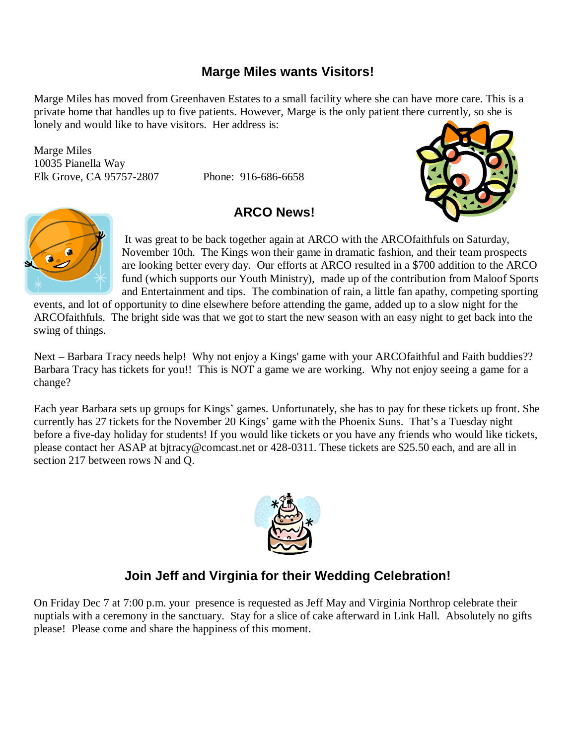### **Marge Miles wants Visitors!**

Marge Miles has moved from Greenhaven Estates to a small facility where she can have more care. This is a private home that handles up to five patients. However, Marge is the only patient there currently, so she is lonely and would like to have visitors. Her address is:

Marge Miles 10035 Pianella Way Elk Grove, CA 95757-2807 Phone: 916-686-6658

### **ARCO News!**





It was great to be back together again at ARCO with the ARCOfaithfuls on Saturday, November 10th. The Kings won their game in dramatic fashion, and their team prospects are looking better every day. Our efforts at ARCO resulted in a \$700 addition to the ARCO fund (which supports our Youth Ministry), made up of the contribution from Maloof Sports and Entertainment and tips. The combination of rain, a little fan apathy, competing sporting

events, and lot of opportunity to dine elsewhere before attending the game, added up to a slow night for the ARCOfaithfuls. The bright side was that we got to start the new season with an easy night to get back into the swing of things.

Next – Barbara Tracy needs help! Why not enjoy a Kings' game with your ARCOfaithful and Faith buddies?? Barbara Tracy has tickets for you!! This is NOT a game we are working. Why not enjoy seeing a game for a change?

Each year Barbara sets up groups for Kings' games. Unfortunately, she has to pay for these tickets up front. She currently has 27 tickets for the November 20 Kings' game with the Phoenix Suns. That's a Tuesday night before a five-day holiday for students! If you would like tickets or you have any friends who would like tickets, please contact her ASAP at [bjtracy@comcast.net or 428-0311. These tickets are \\$25.50 each, and are all in](mailto:bjtracy@comcast.net)  section 217 between rows N and Q.



# **Join Jeff and Virginia for their Wedding Celebration!**

On Friday Dec 7 at 7:00 p.m. your presence is requested as Jeff May and Virginia Northrop celebrate their nuptials with a ceremony in the sanctuary. Stay for a slice of cake afterward in Link Hall. Absolutely no gifts please! Please come and share the happiness of this moment.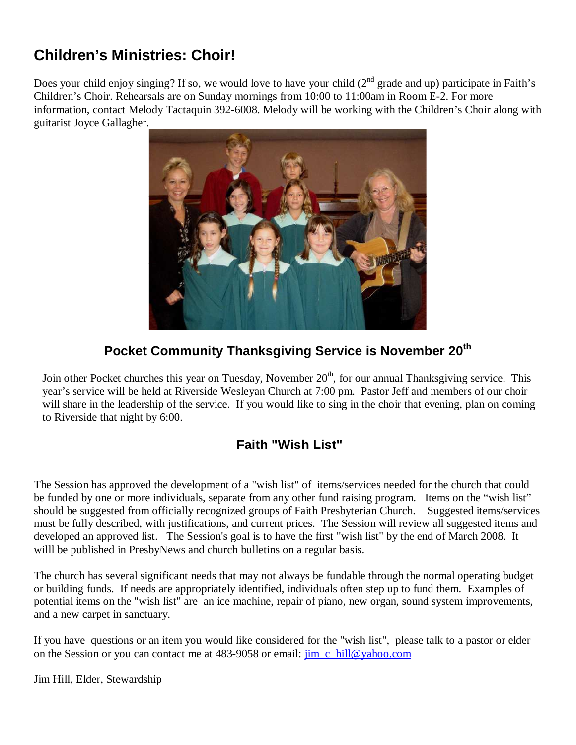# **Children's Ministries: Choir!**

Does your child enjoy singing? If so, we would love to have your child  $(2<sup>nd</sup>$  grade and up) participate in Faith's Children's Choir. Rehearsals are on Sunday mornings from 10:00 to 11:00am in Room E-2. For more information, contact Melody Tactaquin 392-6008. Melody will be working with the Children's Choir along with guitarist Joyce Gallagher.



# **Pocket Community Thanksgiving Service is November 20 th**

Join other Pocket churches this year on Tuesday, November 20<sup>th</sup>, for our annual Thanksgiving service. This year's service will be held at Riverside Wesleyan Church at 7:00 pm. Pastor Jeff and members of our choir will share in the leadership of the service. If you would like to sing in the choir that evening, plan on coming to Riverside that night by 6:00.

# **Faith "Wish List"**

The Session has approved the development of a "wish list" of items/services needed for the church that could be funded by one or more individuals, separate from any other fund raising program. Items on the "wish list" should be suggested from officially recognized groups of Faith Presbyterian Church. Suggested items/services must be fully described, with justifications, and current prices. The Session will review all suggested items and developed an approved list. The Session's goal is to have the first "wish list" by the end of March 2008. It willl be published in PresbyNews and church bulletins on a regular basis.

The church has several significant needs that may not always be fundable through the normal operating budget or building funds. If needs are appropriately identified, individuals often step up to fund them. Examples of potential items on the "wish list" are an ice machine, repair of piano, new organ, sound system improvements, and a new carpet in sanctuary.

If you have questions or an item you would like considered for the "wish list", please talk to a pastor or elder on the Session or you can contact me at 483-9058 or email: [jim\\_c\\_hill@yahoo.com](mailto:jim_c_hill@yahoo.com)

Jim Hill, Elder, Stewardship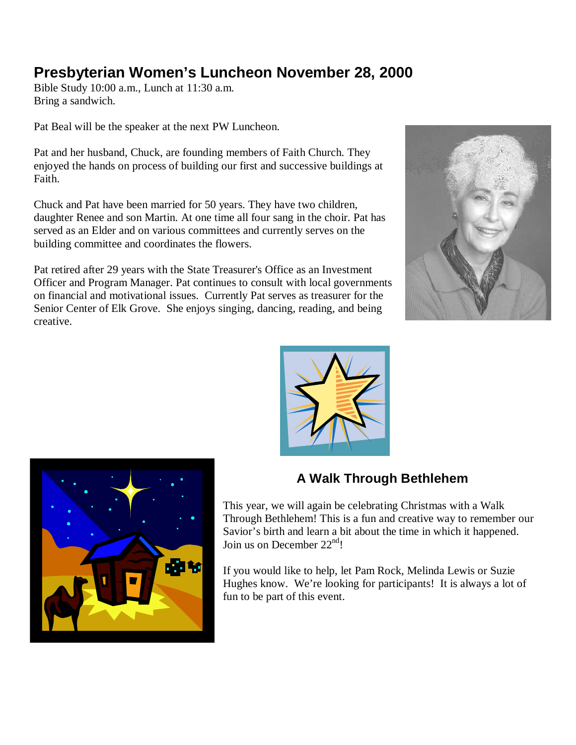# **Presbyterian Women's Luncheon November 28, 2000**

Bible Study 10:00 a.m., Lunch at 11:30 a.m. Bring a sandwich.

Pat Beal will be the speaker at the next PW Luncheon.

Pat and her husband, Chuck, are founding members of Faith Church. They enjoyed the hands on process of building our first and successive buildings at Faith.

Chuck and Pat have been married for 50 years. They have two children, daughter Renee and son Martin. At one time all four sang in the choir. Pat has served as an Elder and on various committees and currently serves on the building committee and coordinates the flowers.

Pat retired after 29 years with the State Treasurer's Office as an Investment Officer and Program Manager. Pat continues to consult with local governments on financial and motivational issues. Currently Pat serves as treasurer for the Senior Center of Elk Grove. She enjoys singing, dancing, reading, and being creative.







# **A Walk Through Bethlehem**

This year, we will again be celebrating Christmas with a Walk Through Bethlehem! This is a fun and creative way to remember our Savior's birth and learn a bit about the time in which it happened. Join us on December  $22<sup>nd</sup>!$ 

If you would like to help, let Pam Rock, Melinda Lewis or Suzie Hughes know. We're looking for participants! It is always a lot of fun to be part of this event.